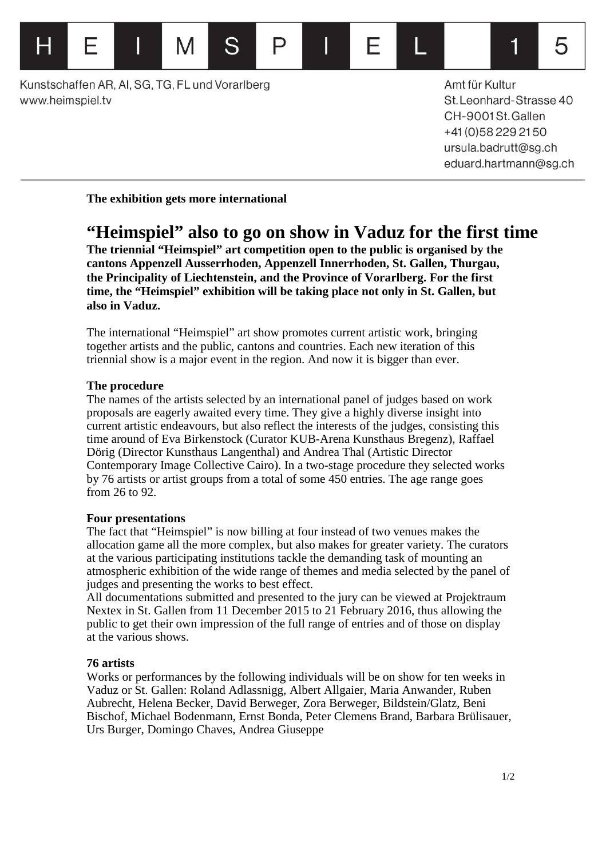Kunstschaffen AR, AI, SG, TG, FL und Vorarlberg www.heimspiel.tv

⊢

Amt für Kultur St. Leonhard-Strasse 40 CH-9001St.Gallen +41 (0) 58 229 21 50 ursula.badrutt@sg.ch eduard.hartmann@sg.ch

1

5

**The exhibition gets more international**

M

# **"Heimspiel" also to go on show in Vaduz for the first time**

**The triennial "Heimspiel" art competition open to the public is organised by the cantons Appenzell Ausserrhoden, Appenzell Innerrhoden, St. Gallen, Thurgau, the Principality of Liechtenstein, and the Province of Vorarlberg. For the first time, the "Heimspiel" exhibition will be taking place not only in St. Gallen, but also in Vaduz.**

P

F

The international "Heimspiel" art show promotes current artistic work, bringing together artists and the public, cantons and countries. Each new iteration of this triennial show is a major event in the region. And now it is bigger than ever.

## **The procedure**

The names of the artists selected by an international panel of judges based on work proposals are eagerly awaited every time. They give a highly diverse insight into current artistic endeavours, but also reflect the interests of the judges, consisting this time around of Eva Birkenstock (Curator KUB-Arena Kunsthaus Bregenz), Raffael Dörig (Director Kunsthaus Langenthal) and Andrea Thal (Artistic Director Contemporary Image Collective Cairo). In a two-stage procedure they selected works by 76 artists or artist groups from a total of some 450 entries. The age range goes from 26 to 92.

## **Four presentations**

The fact that "Heimspiel" is now billing at four instead of two venues makes the allocation game all the more complex, but also makes for greater variety. The curators at the various participating institutions tackle the demanding task of mounting an atmospheric exhibition of the wide range of themes and media selected by the panel of judges and presenting the works to best effect.

All documentations submitted and presented to the jury can be viewed at Projektraum Nextex in St. Gallen from 11 December 2015 to 21 February 2016, thus allowing the public to get their own impression of the full range of entries and of those on display at the various shows.

# **76 artists**

Works or performances by the following individuals will be on show for ten weeks in Vaduz or St. Gallen: Roland Adlassnigg, Albert Allgaier, Maria Anwander, Ruben Aubrecht, Helena Becker, David Berweger, Zora Berweger, Bildstein/Glatz, Beni Bischof, Michael Bodenmann, Ernst Bonda, Peter Clemens Brand, Barbara Brülisauer, Urs Burger, Domingo Chaves, Andrea Giuseppe